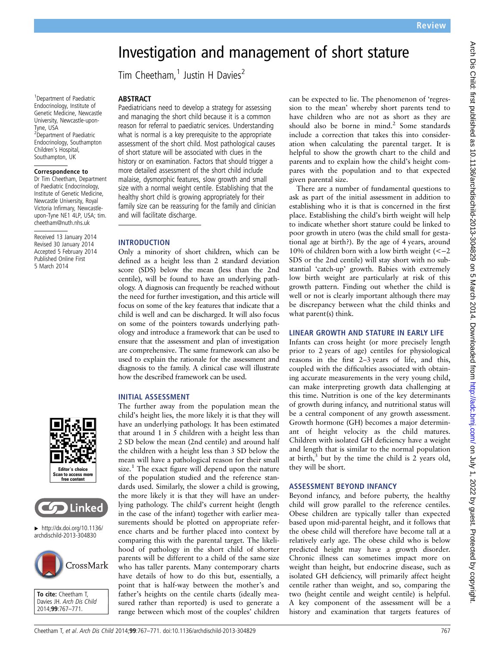# Investigation and management of short stature

Tim Cheetham.<sup>1</sup> Justin H Davies<sup>2</sup>

<sup>1</sup> Department of Paediatric Endocrinology, Institute of Genetic Medicine, Newcastle University, Newcastle-upon-Tyne, USA <sup>2</sup>Department of Paediatric Endocrinology, Southampton Children's Hospital, Southampton, UK

#### Correspondence to

Dr Tim Cheetham, Department of Paediatric Endocrinology, Institute of Genetic Medicine, Newcastle University, Royal Victoria Infirmary, Newcastleupon-Tyne NE1 4LP, USA; tim. cheetham@nuth.nhs.uk

Received 13 January 2014 Revised 30 January 2014 Accepted 5 February 2014 Published Online First 5 March 2014





 $\blacktriangleright$  [http://dx.doi.org/10.1136/](http://dx.doi.org/10.1136/archdischild-2013-304830) [archdischild-2013-304830](http://dx.doi.org/10.1136/archdischild-2013-304830)



To cite: Cheetham T, Davies JH. Arch Dis Child 2014;99:767–771.

Paediatricians need to develop a strategy for assessing and managing the short child because it is a common reason for referral to paediatric services. Understanding what is normal is a key prerequisite to the appropriate assessment of the short child. Most pathological causes of short stature will be associated with clues in the history or on examination. Factors that should trigger a more detailed assessment of the short child include malaise, dysmorphic features, slow growth and small size with a normal weight centile. Establishing that the healthy short child is growing appropriately for their family size can be reassuring for the family and clinician and will facilitate discharge.

#### INTRODUCTION

ABSTRACT

Only a minority of short children, which can be defined as a height less than 2 standard deviation score (SDS) below the mean (less than the 2nd centile), will be found to have an underlying pathology. A diagnosis can frequently be reached without the need for further investigation, and this article will focus on some of the key features that indicate that a child is well and can be discharged. It will also focus on some of the pointers towards underlying pathology and introduce a framework that can be used to ensure that the assessment and plan of investigation are comprehensive. The same framework can also be used to explain the rationale for the assessment and diagnosis to the family. A clinical case will illustrate how the described framework can be used.

#### INITIAL ASSESSMENT

The further away from the population mean the child's height lies, the more likely it is that they will have an underlying pathology. It has been estimated that around 1 in 5 children with a height less than 2 SD below the mean (2nd centile) and around half the children with a height less than 3 SD below the mean will have a pathological reason for their small size.<sup>1</sup> The exact figure will depend upon the nature of the population studied and the reference standards used. Similarly, the slower a child is growing, the more likely it is that they will have an underlying pathology. The child's current height (length in the case of the infant) together with earlier measurements should be plotted on appropriate reference charts and be further placed into context by comparing this with the parental target. The likelihood of pathology in the short child of shorter parents will be different to a child of the same size who has taller parents. Many contemporary charts have details of how to do this but, essentially, a point that is half-way between the mother's and father's heights on the centile charts (ideally measured rather than reported) is used to generate a range between which most of the couples' children

can be expected to lie. The phenomenon of 'regression to the mean' whereby short parents tend to have children who are not as short as they are should also be borne in mind.<sup>2</sup> Some standards include a correction that takes this into consideration when calculating the parental target. It is helpful to show the growth chart to the child and parents and to explain how the child's height compares with the population and to that expected given parental size.

There are a number of fundamental questions to ask as part of the initial assessment in addition to establishing who it is that is concerned in the first place. Establishing the child's birth weight will help to indicate whether short stature could be linked to poor growth in utero (was the child small for gestational age at birth?). By the age of 4 years, around 10% of children born with a low birth weight  $\left(<-2\right)$ SDS or the 2nd centile) will stay short with no substantial 'catch-up' growth. Babies with extremely low birth weight are particularly at risk of this growth pattern. Finding out whether the child is well or not is clearly important although there may be discrepancy between what the child thinks and what parent(s) think.

#### LINEAR GROWTH AND STATURE IN EARLY LIFE

Infants can cross height (or more precisely length prior to 2 years of age) centiles for physiological reasons in the first 2–3 years of life, and this, coupled with the difficulties associated with obtaining accurate measurements in the very young child, can make interpreting growth data challenging at this time. Nutrition is one of the key determinants of growth during infancy, and nutritional status will be a central component of any growth assessment. Growth hormone (GH) becomes a major determinant of height velocity as the child matures. Children with isolated GH deficiency have a weight and length that is similar to the normal population at birth, $3$  but by the time the child is 2 years old, they will be short.

#### ASSESSMENT BEYOND INFANCY

Beyond infancy, and before puberty, the healthy child will grow parallel to the reference centiles. Obese children are typically taller than expected based upon mid-parental height, and it follows that the obese child will therefore have become tall at a relatively early age. The obese child who is below predicted height may have a growth disorder. Chronic illness can sometimes impact more on weight than height, but endocrine disease, such as isolated GH deficiency, will primarily affect height centile rather than weight, and so, comparing the two (height centile and weight centile) is helpful. A key component of the assessment will be a history and examination that targets features of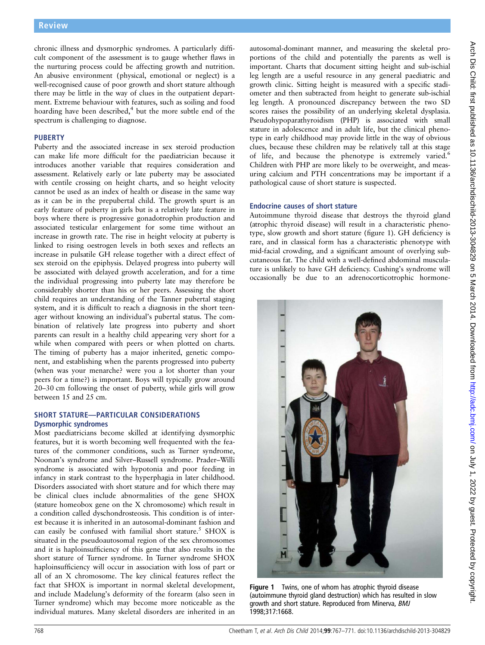chronic illness and dysmorphic syndromes. A particularly difficult component of the assessment is to gauge whether flaws in the nurturing process could be affecting growth and nutrition. An abusive environment (physical, emotional or neglect) is a well-recognised cause of poor growth and short stature although there may be little in the way of clues in the outpatient department. Extreme behaviour with features, such as soiling and food hoarding have been described,<sup>4</sup> but the more subtle end of the spectrum is challenging to diagnose.

#### PUBERTY

Puberty and the associated increase in sex steroid production can make life more difficult for the paediatrician because it introduces another variable that requires consideration and assessment. Relatively early or late puberty may be associated with centile crossing on height charts, and so height velocity cannot be used as an index of health or disease in the same way as it can be in the prepubertal child. The growth spurt is an early feature of puberty in girls but is a relatively late feature in boys where there is progressive gonadotrophin production and associated testicular enlargement for some time without an increase in growth rate. The rise in height velocity at puberty is linked to rising oestrogen levels in both sexes and reflects an increase in pulsatile GH release together with a direct effect of sex steroid on the epiphysis. Delayed progress into puberty will be associated with delayed growth acceleration, and for a time the individual progressing into puberty late may therefore be considerably shorter than his or her peers. Assessing the short child requires an understanding of the Tanner pubertal staging system, and it is difficult to reach a diagnosis in the short teenager without knowing an individual's pubertal status. The combination of relatively late progress into puberty and short parents can result in a healthy child appearing very short for a while when compared with peers or when plotted on charts. The timing of puberty has a major inherited, genetic component, and establishing when the parents progressed into puberty (when was your menarche? were you a lot shorter than your peers for a time?) is important. Boys will typically grow around 20–30 cm following the onset of puberty, while girls will grow between 15 and 25 cm.

#### SHORT STATURE—PARTICULAR CONSIDERATIONS Dysmorphic syndromes

Most paediatricians become skilled at identifying dysmorphic features, but it is worth becoming well frequented with the features of the commoner conditions, such as Turner syndrome, Noonan's syndrome and Silver–Russell syndrome. Prader–Willi syndrome is associated with hypotonia and poor feeding in infancy in stark contrast to the hyperphagia in later childhood. Disorders associated with short stature and for which there may be clinical clues include abnormalities of the gene SHOX (stature homeobox gene on the X chromosome) which result in a condition called dyschondrosteosis. This condition is of interest because it is inherited in an autosomal-dominant fashion and can easily be confused with familial short stature.<sup>5</sup> SHOX is situated in the pseudoautosomal region of the sex chromosomes and it is haploinsufficiency of this gene that also results in the short stature of Turner syndrome. In Turner syndrome SHOX haploinsufficiency will occur in association with loss of part or all of an X chromosome. The key clinical features reflect the fact that SHOX is important in normal skeletal development, and include Madelung's deformity of the forearm (also seen in Turner syndrome) which may become more noticeable as the individual matures. Many skeletal disorders are inherited in an

autosomal-dominant manner, and measuring the skeletal proportions of the child and potentially the parents as well is important. Charts that document sitting height and sub-ischial leg length are a useful resource in any general paediatric and growth clinic. Sitting height is measured with a specific stadiometer and then subtracted from height to generate sub-ischial leg length. A pronounced discrepancy between the two SD scores raises the possibility of an underlying skeletal dysplasia. Pseudohypoparathyroidism (PHP) is associated with small stature in adolescence and in adult life, but the clinical phenotype in early childhood may provide little in the way of obvious clues, because these children may be relatively tall at this stage of life, and because the phenotype is extremely varied.<sup>6</sup> Children with PHP are more likely to be overweight, and measuring calcium and PTH concentrations may be important if a pathological cause of short stature is suspected.

#### Endocrine causes of short stature

Autoimmune thyroid disease that destroys the thyroid gland (atrophic thyroid disease) will result in a characteristic phenotype, slow growth and short stature (figure 1). GH deficiency is rare, and in classical form has a characteristic phenotype with mid-facial crowding, and a significant amount of overlying subcutaneous fat. The child with a well-defined abdominal musculature is unlikely to have GH deficiency. Cushing's syndrome will occasionally be due to an adrenocorticotrophic hormone-



Figure 1 Twins, one of whom has atrophic thyroid disease (autoimmune thyroid gland destruction) which has resulted in slow growth and short stature. Reproduced from Minerva, BMJ 1998;317:1668.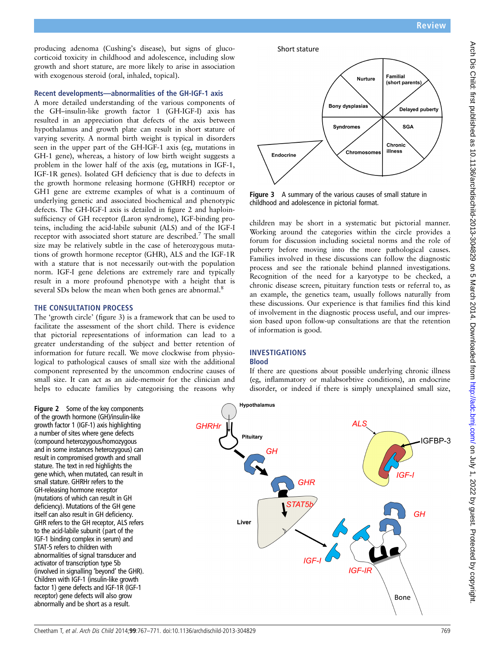producing adenoma (Cushing's disease), but signs of glucocorticoid toxicity in childhood and adolescence, including slow growth and short stature, are more likely to arise in association with exogenous steroid (oral, inhaled, topical).

#### Recent developments—abnormalities of the GH-IGF-1 axis

A more detailed understanding of the various components of the GH–insulin-like growth factor 1 (GH-IGF-I) axis has resulted in an appreciation that defects of the axis between hypothalamus and growth plate can result in short stature of varying severity. A normal birth weight is typical in disorders seen in the upper part of the GH-IGF-1 axis (eg, mutations in GH-1 gene), whereas, a history of low birth weight suggests a problem in the lower half of the axis (eg, mutations in IGF-1, IGF-1R genes). Isolated GH deficiency that is due to defects in the growth hormone releasing hormone (GHRH) receptor or GH1 gene are extreme examples of what is a continuum of underlying genetic and associated biochemical and phenotypic defects. The GH-IGF-I axis is detailed in figure 2 and haploinsufficiency of GH receptor (Laron syndrome), IGF-binding proteins, including the acid-labile subunit (ALS) and of the IGF-I receptor with associated short stature are described.<sup>7</sup> The small size may be relatively subtle in the case of heterozygous mutations of growth hormone receptor (GHR), ALS and the IGF-1R with a stature that is not necessarily out-with the population norm. IGF-I gene deletions are extremely rare and typically result in a more profound phenotype with a height that is several SDs below the mean when both genes are abnormal.<sup>8</sup>

#### THE CONSULTATION PROCESS

The 'growth circle' (figure 3) is a framework that can be used to facilitate the assessment of the short child. There is evidence that pictorial representations of information can lead to a greater understanding of the subject and better retention of information for future recall. We move clockwise from physiological to pathological causes of small size with the additional component represented by the uncommon endocrine causes of small size. It can act as an aide-memoir for the clinician and helps to educate families by categorising the reasons why

Figure 2 Some of the key components of the growth hormone (GH)/insulin-like growth factor 1 (IGF-1) axis highlighting a number of sites where gene defects (compound heterozygous/homozygous and in some instances heterozygous) can result in compromised growth and small stature. The text in red highlights the gene which, when mutated, can result in small stature. GHRHr refers to the GH-releasing hormone receptor (mutations of which can result in GH deficiency). Mutations of the GH gene itself can also result in GH deficiency. GHR refers to the GH receptor, ALS refers to the acid-labile subunit (part of the IGF-1 binding complex in serum) and STAT-5 refers to children with abnormalities of signal transducer and activator of transcription type 5b (involved in signalling 'beyond' the GHR). Children with IGF-1 (insulin-like growth factor 1) gene defects and IGF-1R (IGF-1 receptor) gene defects will also grow abnormally and be short as a result.



Figure 3 A summary of the various causes of small stature in childhood and adolescence in pictorial format.

children may be short in a systematic but pictorial manner. Working around the categories within the circle provides a forum for discussion including societal norms and the role of puberty before moving into the more pathological causes. Families involved in these discussions can follow the diagnostic process and see the rationale behind planned investigations. Recognition of the need for a karyotype to be checked, a chronic disease screen, pituitary function tests or referral to, as an example, the genetics team, usually follows naturally from these discussions. Our experience is that families find this kind of involvement in the diagnostic process useful, and our impression based upon follow-up consultations are that the retention of information is good.

#### INVESTIGATIONS Blood

If there are questions about possible underlying chronic illness (eg, inflammatory or malabsorbtive conditions), an endocrine disorder, or indeed if there is simply unexplained small size,

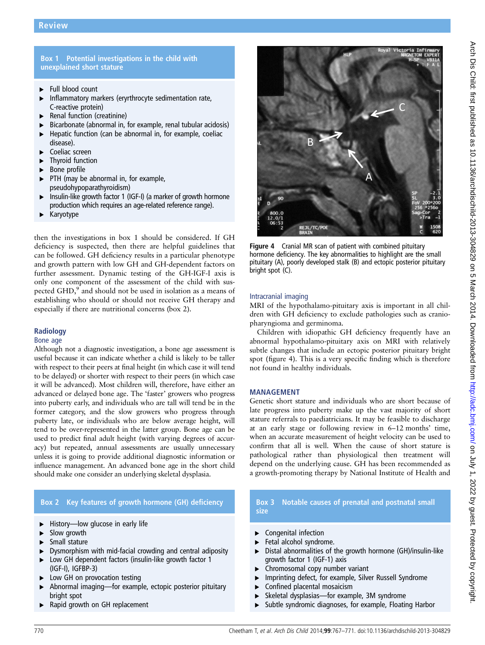## Box 1 Potential investigations in the child with unexplained short stature

- ▸ Full blood count
- ▸ Inflammatory markers (eryrthrocyte sedimentation rate, C-reactive protein)
- ▸ Renal function (creatinine)
- Bicarbonate (abnormal in, for example, renal tubular acidosis)
- ▸ Hepatic function (can be abnormal in, for example, coeliac disease).
- ▸ Coeliac screen
- **Thyroid function**
- ▸ Bone profile
- ▸ PTH (may be abnormal in, for example, pseudohypoparathyroidism)
- ▸ Insulin-like growth factor 1 (IGF-I) (a marker of growth hormone production which requires an age-related reference range).
- ▸ Karyotype

then the investigations in box 1 should be considered. If GH deficiency is suspected, then there are helpful guidelines that can be followed. GH deficiency results in a particular phenotype and growth pattern with low GH and GH-dependent factors on further assessment. Dynamic testing of the GH-IGF-I axis is only one component of the assessment of the child with suspected GHD, $9$  and should not be used in isolation as a means of establishing who should or should not receive GH therapy and especially if there are nutritional concerns (box 2).

## **Radiology**

#### Bone age

Although not a diagnostic investigation, a bone age assessment is useful because it can indicate whether a child is likely to be taller with respect to their peers at final height (in which case it will tend to be delayed) or shorter with respect to their peers (in which case it will be advanced). Most children will, therefore, have either an advanced or delayed bone age. The 'faster' growers who progress into puberty early, and individuals who are tall will tend be in the former category, and the slow growers who progress through puberty late, or individuals who are below average height, will tend to be over-represented in the latter group. Bone age can be used to predict final adult height (with varying degrees of accuracy) but repeated, annual assessments are usually unnecessary unless it is going to provide additional diagnostic information or influence management. An advanced bone age in the short child should make one consider an underlying skeletal dysplasia.

## Box 2 Key features of growth hormone (GH) deficiency

- ▸ History—low glucose in early life
- Slow growth
- Small stature
- ▸ Dysmorphism with mid-facial crowding and central adiposity
- ▶ Low GH dependent factors (insulin-like growth factor 1
- (IGF-I), IGFBP-3)
- ▶ Low GH on provocation testing
- Abnormal imaging—for example, ectopic posterior pituitary bright spot
- ▶ Rapid growth on GH replacement



Figure 4 Cranial MR scan of patient with combined pituitary hormone deficiency. The key abnormalities to highlight are the small pituitary (A), poorly developed stalk (B) and ectopic posterior pituitary bright spot (C).

#### Intracranial imaging

MRI of the hypothalamo-pituitary axis is important in all children with GH deficiency to exclude pathologies such as craniopharyngioma and germinoma.

Children with idiopathic GH deficiency frequently have an abnormal hypothalamo-pituitary axis on MRI with relatively subtle changes that include an ectopic posterior pituitary bright spot (figure 4). This is a very specific finding which is therefore not found in healthy individuals.

## MANAGEMENT

Genetic short stature and individuals who are short because of late progress into puberty make up the vast majority of short stature referrals to paediatricians. It may be feasible to discharge at an early stage or following review in 6–12 months' time, when an accurate measurement of height velocity can be used to confirm that all is well. When the cause of short stature is pathological rather than physiological then treatment will depend on the underlying cause. GH has been recommended as a growth-promoting therapy by National Institute of Health and

## Box 3 Notable causes of prenatal and postnatal small size

- ▸ Congenital infection
- Fetal alcohol syndrome.
- ▸ Distal abnormalities of the growth hormone (GH)/insulin-like growth factor 1 (IGF-1) axis
- ▸ Chromosomal copy number variant
- ▸ Imprinting defect, for example, Silver Russell Syndrome
- ▸ Confined placental mosaicism
- ▸ Skeletal dysplasias—for example, 3M syndrome
- ▸ Subtle syndromic diagnoses, for example, Floating Harbor